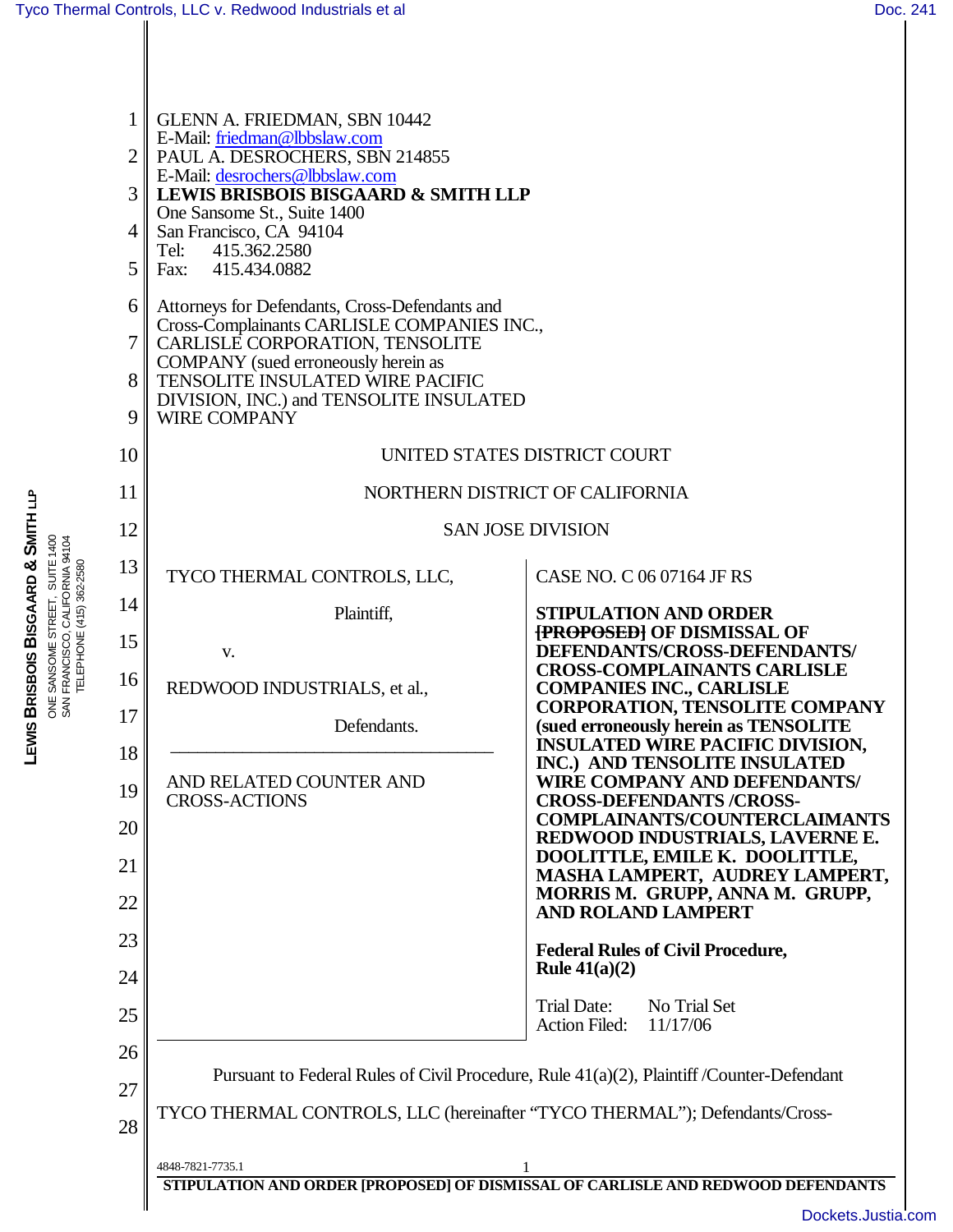| $\mathbf{1}$<br>$\overline{2}$<br>3<br>4<br>5<br>6<br>7<br>8<br>9 | <b>GLENN A. FRIEDMAN, SBN 10442</b><br>E-Mail: friedman@lbbslaw.com<br>PAUL A. DESROCHERS, SBN 214855<br>E-Mail: desrochers@lbbslaw.com<br><b>LEWIS BRISBOIS BISGAARD &amp; SMITH LLP</b><br>One Sansome St., Suite 1400<br>San Francisco, CA 94104<br>Tel:<br>415.362.2580<br>Fax: 415.434.0882<br>Attorneys for Defendants, Cross-Defendants and<br>Cross-Complainants CARLISLE COMPANIES INC.,<br>CARLISLE CORPORATION, TENSOLITE<br>COMPANY (sued erroneously herein as<br><b>TENSOLITE INSULATED WIRE PACIFIC</b><br>DIVISION, INC.) and TENSOLITE INSULATED<br><b>WIRE COMPANY</b> |                                                                                                                           |  |
|-------------------------------------------------------------------|------------------------------------------------------------------------------------------------------------------------------------------------------------------------------------------------------------------------------------------------------------------------------------------------------------------------------------------------------------------------------------------------------------------------------------------------------------------------------------------------------------------------------------------------------------------------------------------|---------------------------------------------------------------------------------------------------------------------------|--|
| 10                                                                | UNITED STATES DISTRICT COURT                                                                                                                                                                                                                                                                                                                                                                                                                                                                                                                                                             |                                                                                                                           |  |
| 11                                                                | NORTHERN DISTRICT OF CALIFORNIA                                                                                                                                                                                                                                                                                                                                                                                                                                                                                                                                                          |                                                                                                                           |  |
| 12                                                                | <b>SAN JOSE DIVISION</b>                                                                                                                                                                                                                                                                                                                                                                                                                                                                                                                                                                 |                                                                                                                           |  |
| 13                                                                | TYCO THERMAL CONTROLS, LLC,                                                                                                                                                                                                                                                                                                                                                                                                                                                                                                                                                              | CASE NO. C 06 07164 JF RS                                                                                                 |  |
| 14                                                                | Plaintiff,                                                                                                                                                                                                                                                                                                                                                                                                                                                                                                                                                                               | <b>STIPULATION AND ORDER</b>                                                                                              |  |
| 15                                                                | V.                                                                                                                                                                                                                                                                                                                                                                                                                                                                                                                                                                                       | <b>{PROPOSED} OF DISMISSAL OF</b><br>DEFENDANTS/CROSS-DEFENDANTS/                                                         |  |
| 16                                                                | REDWOOD INDUSTRIALS, et al.,                                                                                                                                                                                                                                                                                                                                                                                                                                                                                                                                                             | <b>CROSS-COMPLAINANTS CARLISLE</b><br><b>COMPANIES INC., CARLISLE</b>                                                     |  |
| 17                                                                | Defendants.                                                                                                                                                                                                                                                                                                                                                                                                                                                                                                                                                                              | <b>CORPORATION, TENSOLITE COMPANY</b><br>(sued erroneously herein as TENSOLITE<br><b>INSULATED WIRE PACIFIC DIVISION,</b> |  |
| 18                                                                | AND RELATED COUNTER AND                                                                                                                                                                                                                                                                                                                                                                                                                                                                                                                                                                  | INC.) AND TENSOLITE INSULATED<br>WIRE COMPANY AND DEFENDANTS/                                                             |  |
| 19                                                                | <b>CROSS-ACTIONS</b>                                                                                                                                                                                                                                                                                                                                                                                                                                                                                                                                                                     | <b>CROSS-DEFENDANTS/CROSS-</b><br><b>COMPLAINANTS/COUNTERCLAIMANTS</b>                                                    |  |
| 20                                                                |                                                                                                                                                                                                                                                                                                                                                                                                                                                                                                                                                                                          | REDWOOD INDUSTRIALS, LAVERNE E.<br>DOOLITTLE, EMILE K. DOOLITTLE,                                                         |  |
| 21<br>22                                                          |                                                                                                                                                                                                                                                                                                                                                                                                                                                                                                                                                                                          | MASHA LAMPERT, AUDREY LAMPERT,<br>MORRIS M. GRUPP, ANNA M. GRUPP,                                                         |  |
| 23                                                                |                                                                                                                                                                                                                                                                                                                                                                                                                                                                                                                                                                                          | <b>AND ROLAND LAMPERT</b>                                                                                                 |  |
| 24                                                                |                                                                                                                                                                                                                                                                                                                                                                                                                                                                                                                                                                                          | <b>Federal Rules of Civil Procedure,</b><br>Rule $41(a)(2)$                                                               |  |
| 25                                                                |                                                                                                                                                                                                                                                                                                                                                                                                                                                                                                                                                                                          | Trial Date:<br>No Trial Set                                                                                               |  |
| 26                                                                |                                                                                                                                                                                                                                                                                                                                                                                                                                                                                                                                                                                          | <b>Action Filed:</b><br>11/17/06                                                                                          |  |
| 27                                                                | Pursuant to Federal Rules of Civil Procedure, Rule 41(a)(2), Plaintiff /Counter-Defendant                                                                                                                                                                                                                                                                                                                                                                                                                                                                                                |                                                                                                                           |  |
| 28                                                                | TYCO THERMAL CONTROLS, LLC (hereinafter "TYCO THERMAL"); Defendants/Cross-                                                                                                                                                                                                                                                                                                                                                                                                                                                                                                               |                                                                                                                           |  |
|                                                                   | 4848-7821-7735.1                                                                                                                                                                                                                                                                                                                                                                                                                                                                                                                                                                         | STIPULATION AND ORDER [PROPOSED] OF DISMISSAL OF CARLISLE AND REDWOOD DEFENDANTS                                          |  |

SAN FRANCISCO, CALIFORNIA 94104 TELEPHONE (415) 362-2580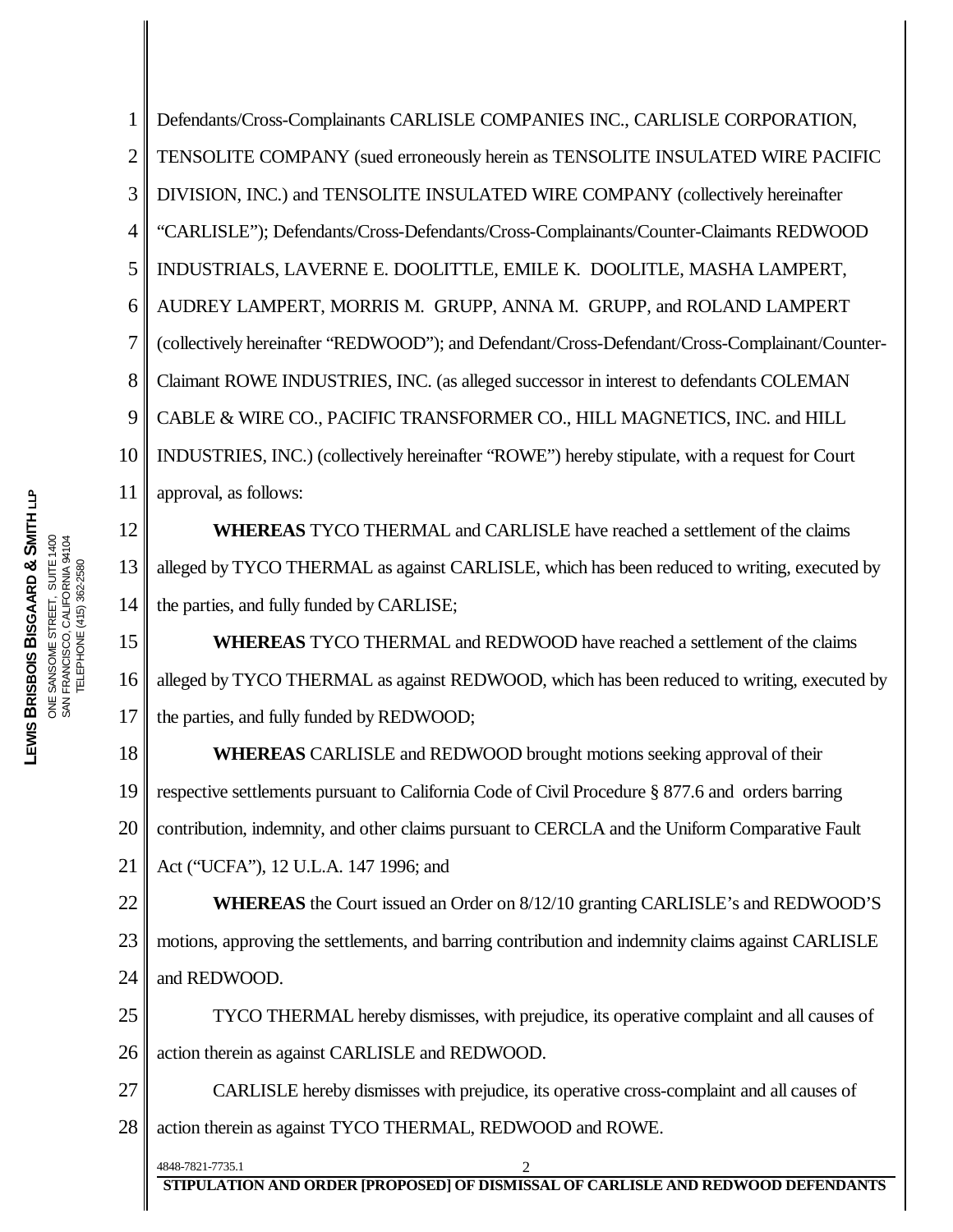**STIPULATION AND ORDER [PROPOSED] OF DISMISSAL OF CARLISLE AND REDWOOD DEFENDANTS** 1 2 3 4 5 6 7 8 9 10 11 12 13 14 15 16 17 18 19 20 21 22 23 24 25 26 27 28 4848-7821-7735.1 2 Defendants/Cross-Complainants CARLISLE COMPANIES INC., CARLISLE CORPORATION, TENSOLITE COMPANY (sued erroneously herein as TENSOLITE INSULATED WIRE PACIFIC DIVISION, INC.) and TENSOLITE INSULATED WIRE COMPANY (collectively hereinafter "CARLISLE"); Defendants/Cross-Defendants/Cross-Complainants/Counter-Claimants REDWOOD INDUSTRIALS, LAVERNE E. DOOLITTLE, EMILE K. DOOLITLE, MASHA LAMPERT, AUDREY LAMPERT, MORRIS M. GRUPP, ANNA M. GRUPP, and ROLAND LAMPERT (collectively hereinafter "REDWOOD"); and Defendant/Cross-Defendant/Cross-Complainant/Counter-Claimant ROWE INDUSTRIES, INC. (as alleged successor in interest to defendants COLEMAN CABLE & WIRE CO., PACIFIC TRANSFORMER CO., HILL MAGNETICS, INC. and HILL INDUSTRIES, INC.) (collectively hereinafter "ROWE") hereby stipulate, with a request for Court approval, as follows: **WHEREAS** TYCO THERMAL and CARLISLE have reached a settlement of the claims alleged by TYCO THERMAL as against CARLISLE, which has been reduced to writing, executed by the parties, and fully funded by CARLISE; **WHEREAS** TYCO THERMAL and REDWOOD have reached a settlement of the claims alleged by TYCO THERMAL as against REDWOOD, which has been reduced to writing, executed by the parties, and fully funded by REDWOOD; **WHEREAS** CARLISLE and REDWOOD brought motions seeking approval of their respective settlements pursuant to California Code of Civil Procedure § 877.6 and orders barring contribution, indemnity, and other claims pursuant to CERCLA and the Uniform Comparative Fault Act ("UCFA"), 12 U.L.A. 147 1996; and **WHEREAS** the Court issued an Order on 8/12/10 granting CARLISLE's and REDWOOD'S motions, approving the settlements, and barring contribution and indemnity claims against CARLISLE and REDWOOD. TYCO THERMAL hereby dismisses, with prejudice, its operative complaint and all causes of action therein as against CARLISLE and REDWOOD. CARLISLE hereby dismisses with prejudice, its operative cross-complaint and all causes of action therein as against TYCO THERMAL, REDWOOD and ROWE.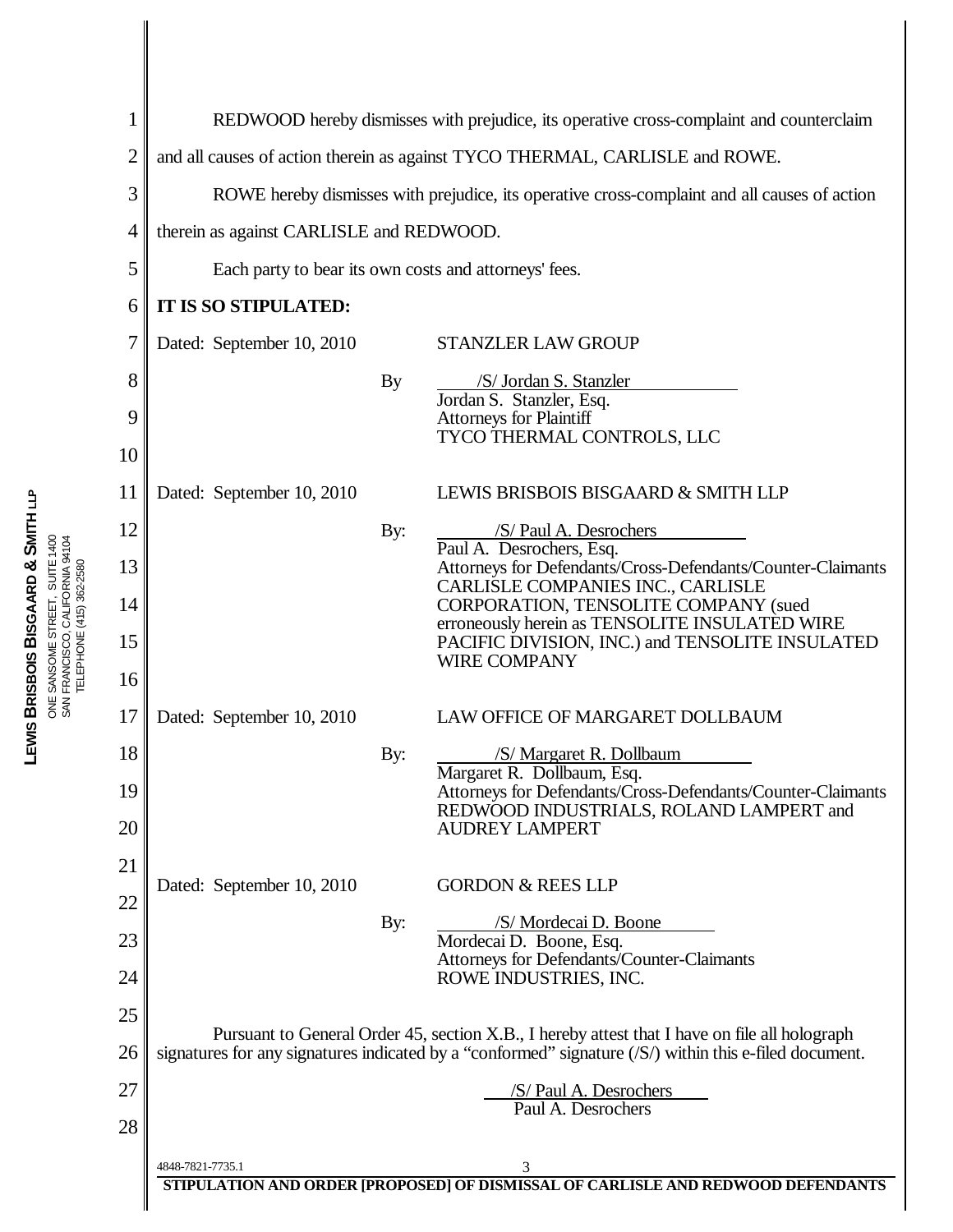| 1              |                                                                                                        | REDWOOD hereby dismisses with prejudice, its operative cross-complaint and counterclaim                                         |  |  |
|----------------|--------------------------------------------------------------------------------------------------------|---------------------------------------------------------------------------------------------------------------------------------|--|--|
| $\overline{2}$ | and all causes of action therein as against TYCO THERMAL, CARLISLE and ROWE.                           |                                                                                                                                 |  |  |
| 3              |                                                                                                        | ROWE hereby dismisses with prejudice, its operative cross-complaint and all causes of action                                    |  |  |
| $\overline{4}$ |                                                                                                        | therein as against CARLISLE and REDWOOD.                                                                                        |  |  |
| 5              | Each party to bear its own costs and attorneys' fees.                                                  |                                                                                                                                 |  |  |
| 6              | IT IS SO STIPULATED:                                                                                   |                                                                                                                                 |  |  |
| 7              | Dated: September 10, 2010                                                                              | <b>STANZLER LAW GROUP</b>                                                                                                       |  |  |
| 8<br>9         | By                                                                                                     | /S/ Jordan S. Stanzler<br>Jordan S. Stanzler, Esq.<br>Attorneys for Plaintiff                                                   |  |  |
| 10             |                                                                                                        | TYCO THERMAL CONTROLS, LLC                                                                                                      |  |  |
| 11             | Dated: September 10, 2010                                                                              | LEWIS BRISBOIS BISGAARD & SMITH LLP                                                                                             |  |  |
| 12             | By:                                                                                                    | /S/ Paul A. Desrochers<br>Paul A. Desrochers, Esq.                                                                              |  |  |
| 13             |                                                                                                        | Attorneys for Defendants/Cross-Defendants/Counter-Claimants<br>CARLISLE COMPANIES INC., CARLISLE                                |  |  |
| 14             |                                                                                                        | CORPORATION, TENSOLITE COMPANY (sued<br>erroneously herein as TENSOLITE INSULATED WIRE                                          |  |  |
| 15             |                                                                                                        | PACIFIC DIVISION, INC.) and TENSOLITE INSULATED<br><b>WIRE COMPANY</b>                                                          |  |  |
| 16             |                                                                                                        |                                                                                                                                 |  |  |
| 17             | Dated: September 10, 2010                                                                              | LAW OFFICE OF MARGARET DOLLBAUM                                                                                                 |  |  |
| 18             | By:                                                                                                    | /S/ Margaret R. Dollbaum<br>Margaret R. Dollbaum, Esq.                                                                          |  |  |
| 19<br>20       |                                                                                                        | Attorneys for Defendants/Cross-Defendants/Counter-Claimants<br>REDWOOD INDUSTRIALS, ROLAND LAMPERT and<br><b>AUDREY LAMPERT</b> |  |  |
| 21             |                                                                                                        |                                                                                                                                 |  |  |
| 22             | Dated: September 10, 2010                                                                              | <b>GORDON &amp; REES LLP</b>                                                                                                    |  |  |
| 23             | By:                                                                                                    | /S/ Mordecai D. Boone<br>Mordecai D. Boone, Esq.<br>Attorneys for Defendants/Counter-Claimants                                  |  |  |
| 24             |                                                                                                        | ROWE INDUSTRIES, INC.                                                                                                           |  |  |
| 25             | Pursuant to General Order 45, section X.B., I hereby attest that I have on file all holograph          |                                                                                                                                 |  |  |
| 26             | signatures for any signatures indicated by a "conformed" signature (/S/) within this e-filed document. |                                                                                                                                 |  |  |
| 27             | /S/ Paul A. Desrochers<br>Paul A. Desrochers                                                           |                                                                                                                                 |  |  |
| 28             |                                                                                                        |                                                                                                                                 |  |  |
|                | 4848-7821-7735.1                                                                                       | 3<br>STIPULATION AND ORDER [PROPOSED] OF DISMISSAL OF CARLISLE AND REDWOOD DEFENDANTS                                           |  |  |
|                |                                                                                                        |                                                                                                                                 |  |  |

TELEPHONE (415) 362-2580